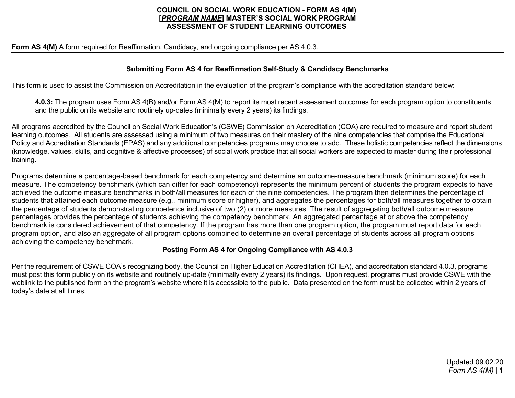#### **COUNCIL ON SOCIAL WORK EDUCATION - FORM AS 4(M) [***PROGRAM NAME***] MASTER'S SOCIAL WORK PROGRAM ASSESSMENT OF STUDENT LEARNING OUTCOMES**

**Form AS 4(M)** A form required for Reaffirmation, Candidacy, and ongoing compliance per AS 4.0.3.

## **Submitting Form AS 4 for Reaffirmation Self-Study & Candidacy Benchmarks**

This form is used to assist the Commission on Accreditation in the evaluation of the program's compliance with the accreditation standard below:

**4.0.3:** The program uses Form AS 4(B) and/or Form AS 4(M) to report its most recent assessment outcomes for each program option to constituents and the public on its website and routinely up-dates (minimally every 2 years) its findings.

All programs accredited by the Council on Social Work Education's (CSWE) Commission on Accreditation (COA) are required to measure and report student learning outcomes. All students are assessed using a minimum of two measures on their mastery of the nine competencies that comprise the Educational Policy and Accreditation Standards (EPAS) and any additional competencies programs may choose to add. These holistic competencies reflect the dimensions (knowledge, values, skills, and cognitive & affective processes) of social work practice that all social workers are expected to master during their professional training.

Programs determine a percentage-based benchmark for each competency and determine an outcome-measure benchmark (minimum score) for each measure. The competency benchmark (which can differ for each competency) represents the minimum percent of students the program expects to have achieved the outcome measure benchmarks in both/all measures for each of the nine competencies. The program then determines the percentage of students that attained each outcome measure (e.g., minimum score or higher), and aggregates the percentages for both/all measures together to obtain the percentage of students demonstrating competence inclusive of two (2) or more measures. The result of aggregating both/all outcome measure percentages provides the percentage of students achieving the competency benchmark. An aggregated percentage at or above the competency benchmark is considered achievement of that competency. If the program has more than one program option, the program must report data for each program option, and also an aggregate of all program options combined to determine an overall percentage of students across all program options achieving the competency benchmark.

## **Posting Form AS 4 for Ongoing Compliance with AS 4.0.3**

Per the requirement of CSWE COA's recognizing body, the Council on Higher Education Accreditation (CHEA), and accreditation standard 4.0.3, programs must post this form publicly on its website and routinely up-date (minimally every 2 years) its findings. Upon request, programs must provide CSWE with the weblink to the published form on the program's website where it is accessible to the public. Data presented on the form must be collected within 2 years of today's date at all times.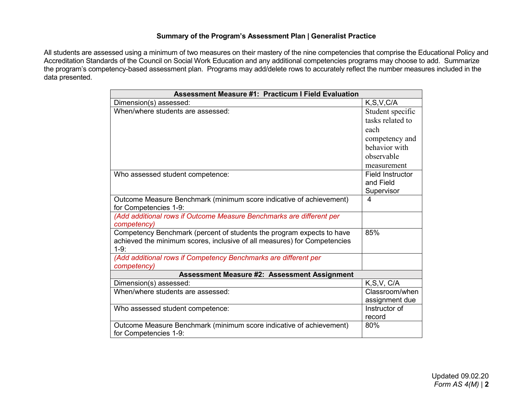# **Summary of the Program's Assessment Plan | Generalist Practice**

All students are assessed using a minimum of two measures on their mastery of the nine competencies that comprise the Educational Policy and Accreditation Standards of the Council on Social Work Education and any additional competencies programs may choose to add. Summarize the program's competency-based assessment plan. Programs may add/delete rows to accurately reflect the number measures included in the data presented.

| <b>Assessment Measure #1: Practicum I Field Evaluation</b>                         |                         |  |  |  |  |  |
|------------------------------------------------------------------------------------|-------------------------|--|--|--|--|--|
| Dimension(s) assessed:                                                             | K, S, V, C/A            |  |  |  |  |  |
| When/where students are assessed:                                                  | Student specific        |  |  |  |  |  |
|                                                                                    | tasks related to        |  |  |  |  |  |
|                                                                                    | each                    |  |  |  |  |  |
|                                                                                    | competency and          |  |  |  |  |  |
|                                                                                    | behavior with           |  |  |  |  |  |
|                                                                                    | observable              |  |  |  |  |  |
|                                                                                    | measurement             |  |  |  |  |  |
| Who assessed student competence:                                                   | <b>Field Instructor</b> |  |  |  |  |  |
|                                                                                    | and Field               |  |  |  |  |  |
|                                                                                    | Supervisor              |  |  |  |  |  |
| Outcome Measure Benchmark (minimum score indicative of achievement)                | 4                       |  |  |  |  |  |
| for Competencies 1-9:                                                              |                         |  |  |  |  |  |
| (Add additional rows if Outcome Measure Benchmarks are different per               |                         |  |  |  |  |  |
| competency)                                                                        |                         |  |  |  |  |  |
| Competency Benchmark (percent of students the program expects to have              | 85%                     |  |  |  |  |  |
| achieved the minimum scores, inclusive of all measures) for Competencies<br>$1-9:$ |                         |  |  |  |  |  |
| (Add additional rows if Competency Benchmarks are different per                    |                         |  |  |  |  |  |
| competency)                                                                        |                         |  |  |  |  |  |
| <b>Assessment Measure #2: Assessment Assignment</b>                                |                         |  |  |  |  |  |
| Dimension(s) assessed:                                                             | K, S, V, C/A            |  |  |  |  |  |
| When/where students are assessed:                                                  | Classroom/when          |  |  |  |  |  |
|                                                                                    | assignment due          |  |  |  |  |  |
| Who assessed student competence:                                                   | Instructor of           |  |  |  |  |  |
|                                                                                    | record                  |  |  |  |  |  |
| Outcome Measure Benchmark (minimum score indicative of achievement)                | 80%                     |  |  |  |  |  |
| for Competencies 1-9:                                                              |                         |  |  |  |  |  |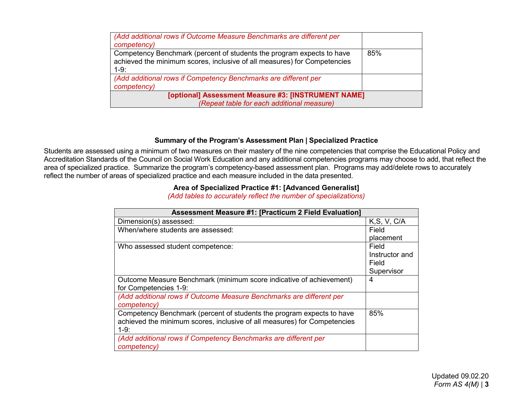| (Add additional rows if Outcome Measure Benchmarks are different per     |     |  |  |  |  |
|--------------------------------------------------------------------------|-----|--|--|--|--|
| competency)                                                              |     |  |  |  |  |
| Competency Benchmark (percent of students the program expects to have    | 85% |  |  |  |  |
| achieved the minimum scores, inclusive of all measures) for Competencies |     |  |  |  |  |
| $1-9:$                                                                   |     |  |  |  |  |
| (Add additional rows if Competency Benchmarks are different per          |     |  |  |  |  |
| competency)                                                              |     |  |  |  |  |
| [optional] Assessment Measure #3: [INSTRUMENT NAME]                      |     |  |  |  |  |
| (Repeat table for each additional measure)                               |     |  |  |  |  |

## **Summary of the Program's Assessment Plan | Specialized Practice**

Students are assessed using a minimum of two measures on their mastery of the nine competencies that comprise the Educational Policy and Accreditation Standards of the Council on Social Work Education and any additional competencies programs may choose to add, that reflect the area of specialized practice. Summarize the program's competency-based assessment plan. Programs may add/delete rows to accurately reflect the number of areas of specialized practice and each measure included in the data presented.

#### **Area of Specialized Practice #1: [Advanced Generalist]**

*(Add tables to accurately reflect the number of specializations)*

| <b>Assessment Measure #1: [Practicum 2 Field Evaluation]</b>             |                |  |  |  |  |  |
|--------------------------------------------------------------------------|----------------|--|--|--|--|--|
| Dimension(s) assessed:                                                   | K, S, V, C/A   |  |  |  |  |  |
| When/where students are assessed:                                        | Field          |  |  |  |  |  |
|                                                                          | placement      |  |  |  |  |  |
| Who assessed student competence:                                         | Field          |  |  |  |  |  |
|                                                                          | Instructor and |  |  |  |  |  |
|                                                                          | Field          |  |  |  |  |  |
|                                                                          | Supervisor     |  |  |  |  |  |
| Outcome Measure Benchmark (minimum score indicative of achievement)      | 4              |  |  |  |  |  |
| for Competencies 1-9:                                                    |                |  |  |  |  |  |
| (Add additional rows if Outcome Measure Benchmarks are different per     |                |  |  |  |  |  |
| competency)                                                              |                |  |  |  |  |  |
| Competency Benchmark (percent of students the program expects to have    | 85%            |  |  |  |  |  |
| achieved the minimum scores, inclusive of all measures) for Competencies |                |  |  |  |  |  |
| $1-9:$                                                                   |                |  |  |  |  |  |
| (Add additional rows if Competency Benchmarks are different per          |                |  |  |  |  |  |
| competency)                                                              |                |  |  |  |  |  |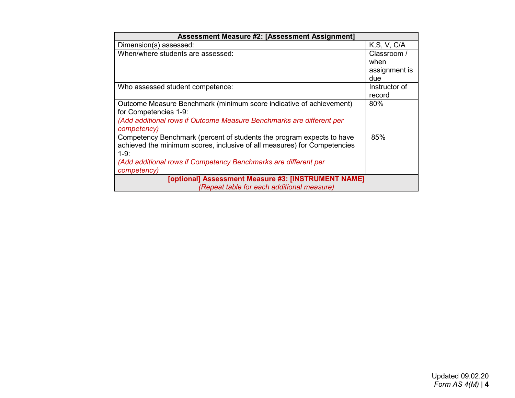| Assessment Measure #2: [Assessment Assignment]                           |               |  |  |  |  |  |
|--------------------------------------------------------------------------|---------------|--|--|--|--|--|
| Dimension(s) assessed:                                                   | K, S, V, C/A  |  |  |  |  |  |
| When/where students are assessed:                                        | Classroom /   |  |  |  |  |  |
|                                                                          | when          |  |  |  |  |  |
|                                                                          | assignment is |  |  |  |  |  |
|                                                                          | due           |  |  |  |  |  |
| Who assessed student competence:                                         | Instructor of |  |  |  |  |  |
|                                                                          | record        |  |  |  |  |  |
| Outcome Measure Benchmark (minimum score indicative of achievement)      | 80%           |  |  |  |  |  |
| for Competencies 1-9:                                                    |               |  |  |  |  |  |
| (Add additional rows if Outcome Measure Benchmarks are different per     |               |  |  |  |  |  |
| competency)                                                              |               |  |  |  |  |  |
| Competency Benchmark (percent of students the program expects to have    | 85%           |  |  |  |  |  |
| achieved the minimum scores, inclusive of all measures) for Competencies |               |  |  |  |  |  |
| $1-9:$                                                                   |               |  |  |  |  |  |
| (Add additional rows if Competency Benchmarks are different per          |               |  |  |  |  |  |
| competency)                                                              |               |  |  |  |  |  |
| [optional] Assessment Measure #3: [INSTRUMENT NAME]                      |               |  |  |  |  |  |
| (Repeat table for each additional measure)                               |               |  |  |  |  |  |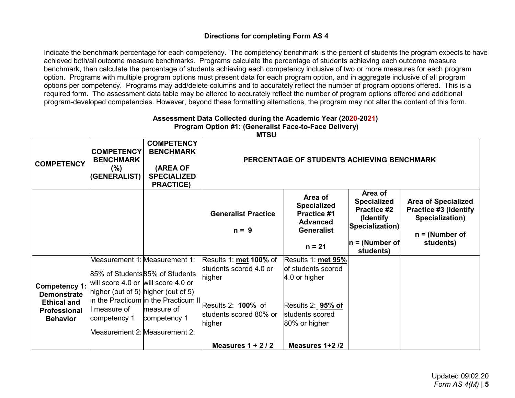# **Directions for completing Form AS 4**

Indicate the benchmark percentage for each competency. The competency benchmark is the percent of students the program expects to have achieved both/all outcome measure benchmarks. Programs calculate the percentage of students achieving each outcome measure benchmark, then calculate the percentage of students achieving each competency inclusive of two or more measures for each program option. Programs with multiple program options must present data for each program option, and in aggregate inclusive of all program options per competency. Programs may add/delete columns and to accurately reflect the number of program options offered. This is a required form. The assessment data table may be altered to accurately reflect the number of program options offered and additional program-developed competencies. However, beyond these formatting alternations, the program may not alter the content of this form.

| ASSESSINGIN DAIA CONGUIGU UUNING ING ACAUGHIIU TEAN (2020-2021)<br>Program Option #1: (Generalist Face-to-Face Delivery)<br><b>MTSU</b> |                                                                                                          |                                                                                                                                 |                                                                                                                                                                               |                                                                                                                    |                                                                                                                        |                                                                                                                |  |  |  |
|-----------------------------------------------------------------------------------------------------------------------------------------|----------------------------------------------------------------------------------------------------------|---------------------------------------------------------------------------------------------------------------------------------|-------------------------------------------------------------------------------------------------------------------------------------------------------------------------------|--------------------------------------------------------------------------------------------------------------------|------------------------------------------------------------------------------------------------------------------------|----------------------------------------------------------------------------------------------------------------|--|--|--|
| <b>COMPETENCY</b>                                                                                                                       | <b>COMPETENCY</b><br><b>BENCHMARK</b><br>$(\% )$<br>(GENERALIST)                                         | <b>COMPETENCY</b><br><b>BENCHMARK</b><br>(AREA OF<br><b>SPECIALIZED</b><br><b>PRACTICE)</b>                                     | PERCENTAGE OF STUDENTS ACHIEVING BENCHMARK                                                                                                                                    |                                                                                                                    |                                                                                                                        |                                                                                                                |  |  |  |
|                                                                                                                                         |                                                                                                          |                                                                                                                                 | <b>Generalist Practice</b><br>$n = 9$                                                                                                                                         | Area of<br><b>Specialized</b><br><b>Practice #1</b><br><b>Advanced</b><br><b>Generalist</b><br>$n = 21$            | Area of<br><b>Specialized</b><br><b>Practice #2</b><br>(Identify)<br>Specialization)<br>$ n = (Number of$<br>students) | <b>Area of Specialized</b><br><b>Practice #3 (Identify</b><br>Specialization)<br>$n = (Number of$<br>students) |  |  |  |
| Competency 1:<br><b>Demonstrate</b><br><b>Ethical and</b><br><b>Professional</b><br><b>Behavior</b>                                     | will score 4.0 or will score 4.0 or<br>higher (out of 5) higher (out of 5)<br>measure of<br>competency 1 | Measurement 1: Measurement 1:<br>85% of Students 85% of Students<br>measure of<br>competency 1<br>Measurement 2: Measurement 2: | Results 1: met 100% of<br>students scored 4.0 or<br>higher<br>In the Practicum $\overline{\text{in}}$ the Practicum II Results 2: 100% of<br>students scored 80% or<br>higher | Results 1: met 95%<br>of students scored<br>4.0 or higher<br>Results 2: 95% of<br>students scored<br>80% or higher |                                                                                                                        |                                                                                                                |  |  |  |
|                                                                                                                                         |                                                                                                          |                                                                                                                                 | Measures $1 + 2/2$                                                                                                                                                            | Measures 1+2/2                                                                                                     |                                                                                                                        |                                                                                                                |  |  |  |

# **Assessment Data Collected during the Academic Year (2020-2021)**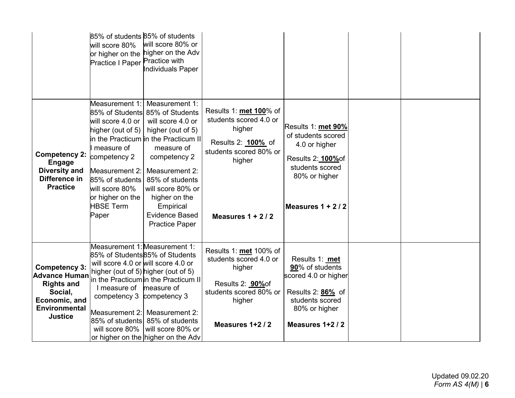| <b>Competency 2:</b><br><b>Engage</b><br><b>Diversity and</b><br>Difference in<br><b>Practice</b>                                       | 85% of students 85% of students<br>will score 80%<br>or higher on the<br>Practice I Paper Practice with<br>Measurement 1:<br>will score 4.0 or<br>higher (out of 5)<br>measure of<br>competency 2<br>Measurement 2:<br>85% of students<br>will score 80%<br>or higher on the<br><b>HBSE Term</b><br>Paper | will score 80% or<br>higher on the Adv<br>Individuals Paper<br>Measurement 1:<br>85% of Students 85% of Students<br>will score 4.0 or<br>higher (out of 5)<br><b>i</b> n the Practicum lin the Practicum II<br>measure of<br>competency 2<br>Measurement 2:<br>85% of students<br>will score 80% or<br>higher on the<br>Empirical<br><b>Evidence Based</b><br><b>Practice Paper</b> | Results 1: met 100% of<br>students scored 4.0 or<br>higher<br>Results 2: <b>100%</b> of<br>students scored 80% or<br>higher<br>Measures $1 + 2/2$ | Results 1: met 90%<br>of students scored<br>4.0 or higher<br>Results 2: <b>100%</b> of<br>students scored<br>80% or higher<br>Measures $1 + 2/2$ |  |
|-----------------------------------------------------------------------------------------------------------------------------------------|-----------------------------------------------------------------------------------------------------------------------------------------------------------------------------------------------------------------------------------------------------------------------------------------------------------|-------------------------------------------------------------------------------------------------------------------------------------------------------------------------------------------------------------------------------------------------------------------------------------------------------------------------------------------------------------------------------------|---------------------------------------------------------------------------------------------------------------------------------------------------|--------------------------------------------------------------------------------------------------------------------------------------------------|--|
| <b>Competency 3:</b><br><b>Advance Human</b><br><b>Rights and</b><br>Social,<br>Economic, and<br><b>Environmental</b><br><b>Justice</b> | Measurement 1: Measurement 1:<br>85% of Students 85% of Students<br>will score 4.0 or will score 4.0 or<br>higher (out of 5) higher (out of 5)<br>I measure of<br>competency 3 competency 3<br>Measurement 2:<br>will score 80%                                                                           | in the Practicum in the Practicum II<br>measure of<br>Measurement 2:<br>85% of students 85% of students<br>will score 80% or<br>or higher on the higher on the Adv                                                                                                                                                                                                                  | Results 1: <b>met</b> 100% of<br>students scored 4.0 or<br>higher<br>Results 2: 90% of<br>students scored 80% or<br>higher<br>Measures 1+2/2      | Results 1: met<br>90% of students<br>scored 4.0 or higher<br>Results 2: 86% of<br>students scored<br>80% or higher<br>Measures 1+2/2             |  |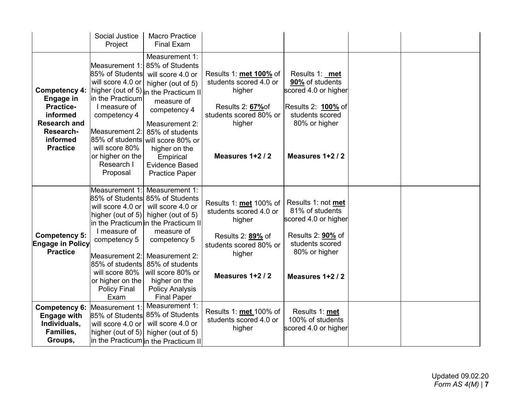|                                                                                                                                      | Social Justice<br>Project                                                                                                                                                                                                            | <b>Macro Practice</b><br><b>Final Exam</b>                                                                                                                                                                                                                                                   |                                                                                                                                         |                                                                                                                                                 |  |
|--------------------------------------------------------------------------------------------------------------------------------------|--------------------------------------------------------------------------------------------------------------------------------------------------------------------------------------------------------------------------------------|----------------------------------------------------------------------------------------------------------------------------------------------------------------------------------------------------------------------------------------------------------------------------------------------|-----------------------------------------------------------------------------------------------------------------------------------------|-------------------------------------------------------------------------------------------------------------------------------------------------|--|
| <b>Competency 4:</b><br><b>Engage in</b><br>Practice-<br>informed<br><b>Research and</b><br>Research-<br>informed<br><b>Practice</b> | Measurement 1:<br>85% of Students<br>will score 4.0 or<br>higher (out of 5)<br>in the Practicum<br>I measure of<br>competency 4<br>Measurement 2:<br>85% of students<br>will score 80%<br>or higher on the<br>Research I<br>Proposal | Measurement 1:<br>85% of Students<br>will score 4.0 or<br>higher (out of 5)<br>in the Practicum II<br>measure of<br>competency 4<br>Measurement 2:<br>85% of students<br>will score 80% or<br>higher on the<br>Empirical<br><b>Evidence Based</b><br><b>Practice Paper</b>                   | Results 1: met 100% of<br>students scored 4.0 or<br>higher<br>Results 2: 67% of<br>students scored 80% or<br>higher<br>Measures 1+2/2   | Results 1: met<br>90% of students<br>scored 4.0 or higher<br>Results 2: 100% of<br>students scored<br>80% or higher<br>Measures 1+2/2           |  |
| <b>Competency 5:</b><br><b>Engage in Policy</b><br><b>Practice</b>                                                                   | Measurement 1:<br>will score 4.0 or<br>higher (out of 5)<br>I measure of<br>competency 5<br>Measurement 2:<br>85% of students<br>will score 80%<br>or higher on the<br><b>Policy Final</b><br>Exam                                   | Measurement 1:<br>85% of Students 85% of Students<br>will score 4.0 or<br>higher (out of 5)<br>in the Practicum in the Practicum II<br>measure of<br>competency 5<br>Measurement 2:<br>85% of students<br>will score 80% or<br>higher on the<br><b>Policy Analysis</b><br><b>Final Paper</b> | Results 1: met 100% of<br>students scored 4.0 or<br>higher<br>Results 2: 89% of<br>students scored 80% or<br>higher<br>Measures 1+2 / 2 | Results 1: not met<br>81% of students<br>scored 4.0 or higher<br>Results 2: <b>90%</b> of<br>students scored<br>80% or higher<br>Measures 1+2/2 |  |
| <b>Competency 6:</b><br><b>Engage with</b><br>Individuals,<br>Families,<br>Groups,                                                   | Measurement 1<br>85% of Students<br>will score 4.0 or<br>higher (out of 5)                                                                                                                                                           | Measurement 1:<br>85% of Students<br>will score 4.0 or<br>higher (out of 5)<br>in the Practicum in the Practicum II                                                                                                                                                                          | Results 1: met 100% of<br>students scored 4.0 or<br>higher                                                                              | Results 1: met<br>100% of students<br>scored 4.0 or higher                                                                                      |  |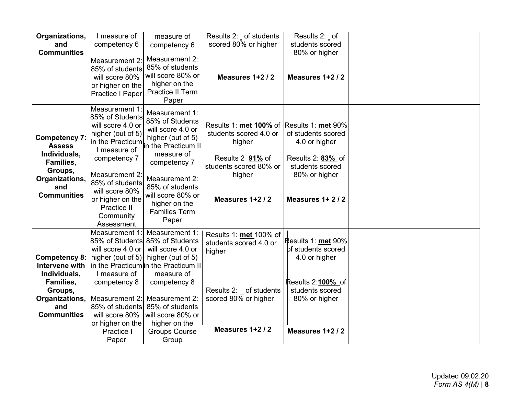| Organizations,<br>and<br><b>Communities</b>                                                                                   | I measure of<br>competency 6<br>Measurement 2:<br>85% of students<br>will score 80%<br>or higher on the<br>Practice I Paper                                                                                                                                 | measure of<br>competency 6<br>Measurement 2:<br>85% of students<br>will score 80% or<br>higher on the<br><b>Practice II Term</b><br>Paper                                                                                                    | Results 2: _ of students<br>scored 80% or higher<br>Measures 1+2 / 2                                                                                      | Results 2: of<br>students scored<br>80% or higher<br>Measures 1+2/2                                                |  |
|-------------------------------------------------------------------------------------------------------------------------------|-------------------------------------------------------------------------------------------------------------------------------------------------------------------------------------------------------------------------------------------------------------|----------------------------------------------------------------------------------------------------------------------------------------------------------------------------------------------------------------------------------------------|-----------------------------------------------------------------------------------------------------------------------------------------------------------|--------------------------------------------------------------------------------------------------------------------|--|
| <b>Competency 7:</b><br><b>Assess</b><br>Individuals,<br>Families,<br>Groups,<br>Organizations,<br>and<br><b>Communities</b>  | Measurement 1:<br>85% of Students<br>will score 4.0 or<br>higher (out of 5)<br>in the Practicum<br>I measure of<br>competency 7<br><b>Measurement 2:</b><br>85% of students<br>will score 80%<br>or higher on the<br>Practice II<br>Community<br>Assessment | Measurement 1:<br>85% of Students<br>will score 4.0 or<br>higher (out of 5)<br>in the Practicum II<br>measure of<br>competency 7<br>Measurement 2:<br>85% of students<br>will score 80% or<br>higher on the<br><b>Families Term</b><br>Paper | Results 1: met 100% of Results 1: met 90%<br>students scored 4.0 or<br>higher<br>Results 2 91% of<br>students scored 80% or<br>higher<br>Measures 1+2 / 2 | of students scored<br>4.0 or higher<br>Results 2: 83% of<br>students scored<br>80% or higher<br>Measures 1+2/2     |  |
| <b>Competency 8:</b><br>Intervene with<br>Individuals,<br>Families,<br>Groups,<br>Organizations,<br>and<br><b>Communities</b> | Measurement 1:<br>85% of Students<br>will score 4.0 or<br>higher (out of 5)<br>I measure of<br>competency 8<br>Measurement 2:<br>85% of students<br>will score 80%<br>or higher on the                                                                      | Measurement 1:<br>85% of Students<br>will score 4.0 or<br>higher (out of 5)<br>in the Practicum in the Practicum II<br>measure of<br>competency 8<br>Measurement 2:<br>85% of students<br>will score 80% or<br>higher on the                 | Results 1: met 100% of<br>students scored 4.0 or<br>higher<br>Results 2: of students<br>scored 80% or higher                                              | Results 1: met 90%<br>of students scored<br>4.0 or higher<br>Results 2:100%_of<br>students scored<br>80% or higher |  |
|                                                                                                                               | Practice I<br>Paper                                                                                                                                                                                                                                         | <b>Groups Course</b><br>Group                                                                                                                                                                                                                | Measures 1+2 / 2                                                                                                                                          | Measures 1+2/2                                                                                                     |  |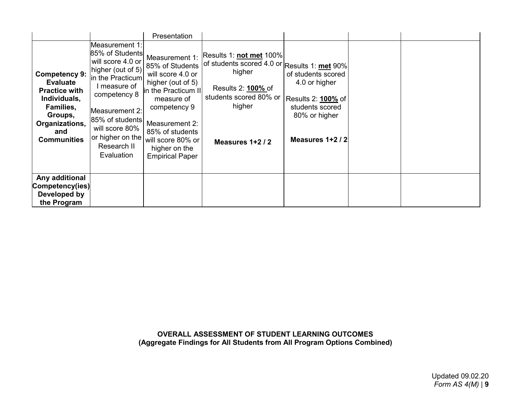|                                                                                                                                                        |                                                                                                                                                                                                                                       | Presentation                                                                                                                                                                                                                          |                                                                                                                                                                      |                                                                                                                          |  |
|--------------------------------------------------------------------------------------------------------------------------------------------------------|---------------------------------------------------------------------------------------------------------------------------------------------------------------------------------------------------------------------------------------|---------------------------------------------------------------------------------------------------------------------------------------------------------------------------------------------------------------------------------------|----------------------------------------------------------------------------------------------------------------------------------------------------------------------|--------------------------------------------------------------------------------------------------------------------------|--|
| <b>Competency 9:</b><br><b>Evaluate</b><br><b>Practice with</b><br>Individuals,<br>Families,<br>Groups,<br>Organizations,<br>and<br><b>Communities</b> | Measurement 1:<br>85% of Students<br>will score 4.0 or<br>higher (out of 5)<br>in the Practicum<br>measure of<br>competency 8<br>Measurement 2:<br>85% of students<br>will score 80%<br>or higher on the<br>Research II<br>Evaluation | Measurement 1:<br>85% of Students<br>will score 4.0 or<br>higher (out of 5)<br>in the Practicum II<br>measure of<br>competency 9<br>Measurement 2:<br>85% of students<br>will score 80% or<br>higher on the<br><b>Empirical Paper</b> | Results 1: not met 100%<br>of students scored 4.0 or Results 1: met 90%<br>higher<br>Results 2: <b>100%</b> of<br>students scored 80% or<br>higher<br>Measures 1+2/2 | of students scored<br>4.0 or higher<br>Results 2: <b>100%</b> of<br>students scored<br>80% or higher<br>Measures 1+2 / 2 |  |
| Any additional<br>Competency(ies)<br>Developed by<br>the Program                                                                                       |                                                                                                                                                                                                                                       |                                                                                                                                                                                                                                       |                                                                                                                                                                      |                                                                                                                          |  |

**OVERALL ASSESSMENT OF STUDENT LEARNING OUTCOMES (Aggregate Findings for All Students from All Program Options Combined)**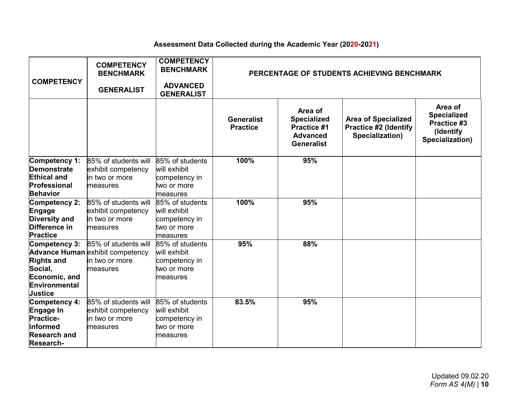#### **Assessment Data Collected during the Academic Year (2020-2021)**

| <b>COMPETENCY</b>                                                                                     | <b>COMPETENCY</b><br><b>BENCHMARK</b><br><b>GENERALIST</b>                                    | <b>COMPETENCY</b><br><b>BENCHMARK</b><br><b>ADVANCED</b><br><b>GENERALIST</b> | PERCENTAGE OF STUDENTS ACHIEVING BENCHMARK |                                                                                             |                                                                               |                                                                              |
|-------------------------------------------------------------------------------------------------------|-----------------------------------------------------------------------------------------------|-------------------------------------------------------------------------------|--------------------------------------------|---------------------------------------------------------------------------------------------|-------------------------------------------------------------------------------|------------------------------------------------------------------------------|
|                                                                                                       |                                                                                               |                                                                               | <b>Generalist</b><br><b>Practice</b>       | Area of<br><b>Specialized</b><br><b>Practice #1</b><br><b>Advanced</b><br><b>Generalist</b> | <b>Area of Specialized</b><br><b>Practice #2 (Identify</b><br>Specialization) | Area of<br><b>Specialized</b><br>Practice #3<br>(Identify<br>Specialization) |
| Competency 1:<br><b>Demonstrate</b><br><b>Ethical and</b><br>Professional<br><b>Behavior</b>          | 85% of students will<br>exhibit competency<br>in two or more<br>measures                      | 85% of students<br>will exhibit<br>competency in<br>two or more<br>measures   | 100%                                       | 95%                                                                                         |                                                                               |                                                                              |
| Competency 2:<br>Engage<br><b>Diversity and</b><br>Difference in<br><b>Practice</b>                   | 85% of students will<br>exhibit competency<br>in two or more<br>measures                      | 85% of students<br>will exhibit<br>competency in<br>two or more<br>measures   | 100%                                       | 95%                                                                                         |                                                                               |                                                                              |
| Competency 3:<br><b>Rights and</b><br>Social,<br>Economic, and<br>Environmental<br>Justice            | 85% of students will<br><b>Advance Human exhibit competency</b><br>in two or more<br>measures | 85% of students<br>will exhibit<br>competency in<br>two or more<br>measures   | 95%                                        | 88%                                                                                         |                                                                               |                                                                              |
| Competency 4:<br>Engage In<br><b>Practice-</b><br>informed<br><b>Research and</b><br><b>Research-</b> | 85% of students will<br>exhibit competency<br>in two or more<br>measures                      | 85% of students<br>will exhibit<br>competency in<br>two or more<br>measures   | 83.5%                                      | 95%                                                                                         |                                                                               |                                                                              |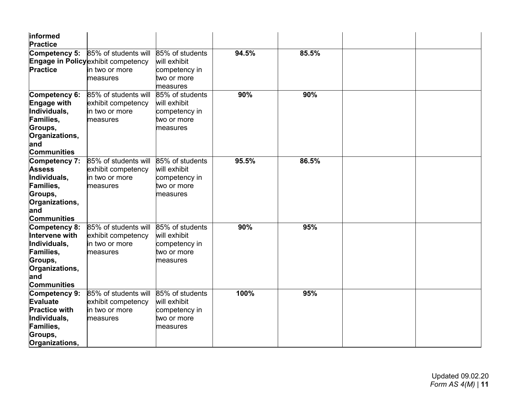| informed<br><b>Practice</b>                                                                                                       |                                                                                                  |                                                                             |       |       |  |
|-----------------------------------------------------------------------------------------------------------------------------------|--------------------------------------------------------------------------------------------------|-----------------------------------------------------------------------------|-------|-------|--|
| Competency 5:<br>Practice                                                                                                         | 85% of students will<br><b>Engage in Policy exhibit competency</b><br>in two or more<br>measures | 85% of students<br>will exhibit<br>competency in<br>two or more<br>measures | 94.5% | 85.5% |  |
| Competency 6:<br><b>Engage with</b><br>Individuals,<br><b>Families,</b><br>Groups,<br>Organizations,<br>and<br><b>Communities</b> | 85% of students will<br>exhibit competency<br>in two or more<br>measures                         | 85% of students<br>will exhibit<br>competency in<br>two or more<br>measures | 90%   | 90%   |  |
| Competency 7:<br><b>Assess</b><br>Individuals,<br>Families,<br>Groups,<br>Organizations,<br>and<br><b>Communities</b>             | 85% of students will<br>exhibit competency<br>in two or more<br>measures                         | 85% of students<br>will exhibit<br>competency in<br>two or more<br>measures | 95.5% | 86.5% |  |
| Competency 8:<br>Intervene with<br>Individuals,<br>Families,<br>Groups,<br>Organizations,<br>and<br><b>Communities</b>            | 85% of students will<br>exhibit competency<br>in two or more<br>measures                         | 85% of students<br>will exhibit<br>competency in<br>two or more<br>measures | 90%   | 95%   |  |
| Competency 9:<br><b>Evaluate</b><br><b>Practice with</b><br>Individuals,<br>Families,<br>Groups,<br>Organizations,                | 85% of students will<br>exhibit competency<br>in two or more<br>measures                         | 85% of students<br>will exhibit<br>competency in<br>two or more<br>measures | 100%  | 95%   |  |